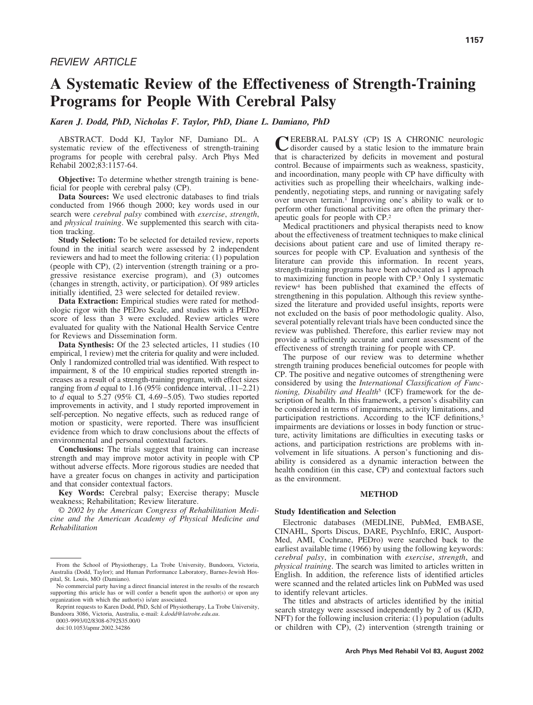# **A Systematic Review of the Effectiveness of Strength-Training Programs for People With Cerebral Palsy**

*Karen J. Dodd, PhD, Nicholas F. Taylor, PhD, Diane L. Damiano, PhD*

ABSTRACT. Dodd KJ, Taylor NF, Damiano DL. A systematic review of the effectiveness of strength-training programs for people with cerebral palsy. Arch Phys Med Rehabil 2002;83:1157-64.

**Objective:** To determine whether strength training is beneficial for people with cerebral palsy (CP).

**Data Sources:** We used electronic databases to find trials conducted from 1966 though 2000; key words used in our search were *cerebral palsy* combined with *exercise*, *strength*, and *physical training*. We supplemented this search with citation tracking.

**Study Selection:** To be selected for detailed review, reports found in the initial search were assessed by 2 independent reviewers and had to meet the following criteria: (1) population (people with CP), (2) intervention (strength training or a progressive resistance exercise program), and (3) outcomes (changes in strength, activity, or participation). Of 989 articles initially identified, 23 were selected for detailed review.

**Data Extraction:** Empirical studies were rated for methodologic rigor with the PEDro Scale, and studies with a PEDro score of less than 3 were excluded. Review articles were evaluated for quality with the National Health Service Centre for Reviews and Dissemination form.

**Data Synthesis:** Of the 23 selected articles, 11 studies (10 empirical, 1 review) met the criteria for quality and were included. Only 1 randomized controlled trial was identified. With respect to impairment, 8 of the 10 empirical studies reported strength increases as a result of a strength-training program, with effect sizes ranging from *d* equal to 1.16 (95% confidence interval, .11–2.21) to *d* equal to 5.27 (95% CI, 4.69–5.05). Two studies reported improvements in activity, and 1 study reported improvement in self-perception. No negative effects, such as reduced range of motion or spasticity, were reported. There was insufficient evidence from which to draw conclusions about the effects of environmental and personal contextual factors.

**Conclusions:** The trials suggest that training can increase strength and may improve motor activity in people with CP without adverse effects. More rigorous studies are needed that have a greater focus on changes in activity and participation and that consider contextual factors.

**Key Words:** Cerebral palsy; Exercise therapy; Muscle weakness; Rehabilitation; Review literature.

© *2002 by the American Congress of Rehabilitation Medicine and the American Academy of Physical Medicine and Rehabilitation*

0003-9993/02/8308-6792\$35.00/0 doi:10.1053/apmr.2002.34286

CEREBRAL PALSY (CP) IS A CHRONIC neurologic disorder caused by a static lesion to the immature brain that is characterized by deficits in movement and postural control. Because of impairments such as weakness, spasticity, and incoordination, many people with CP have difficulty with activities such as propelling their wheelchairs, walking independently, negotiating steps, and running or navigating safely over uneven terrain.1 Improving one's ability to walk or to perform other functional activities are often the primary therapeutic goals for people with CP.2

Medical practitioners and physical therapists need to know about the effectiveness of treatment techniques to make clinical decisions about patient care and use of limited therapy resources for people with CP. Evaluation and synthesis of the literature can provide this information. In recent years, strength-training programs have been advocated as 1 approach to maximizing function in people with CP.3 Only 1 systematic review4 has been published that examined the effects of strengthening in this population. Although this review synthesized the literature and provided useful insights, reports were not excluded on the basis of poor methodologic quality. Also, several potentially relevant trials have been conducted since the review was published. Therefore, this earlier review may not provide a sufficiently accurate and current assessment of the effectiveness of strength training for people with CP.

The purpose of our review was to determine whether strength training produces beneficial outcomes for people with CP. The positive and negative outcomes of strengthening were considered by using the *International Classification of Functioning, Disability and Health*<sup>5</sup> (ICF) framework for the description of health. In this framework, a person's disability can be considered in terms of impairments, activity limitations, and participation restrictions. According to the ICF definitions,<sup>5</sup> impairments are deviations or losses in body function or structure, activity limitations are difficulties in executing tasks or actions, and participation restrictions are problems with involvement in life situations. A person's functioning and disability is considered as a dynamic interaction between the health condition (in this case, CP) and contextual factors such as the environment.

#### **METHOD**

#### **Study Identification and Selection**

Electronic databases (MEDLINE, PubMed, EMBASE, CINAHL, Sports Discus, DARE, PsychInfo, ERIC, Ausport-Med, AMI, Cochrane, PEDro) were searched back to the earliest available time (1966) by using the following keywords: *cerebral palsy*, in combination with *exercise*, *strength*, and *physical training*. The search was limited to articles written in English. In addition, the reference lists of identified articles were scanned and the related articles link on PubMed was used to identify relevant articles.

The titles and abstracts of articles identified by the initial search strategy were assessed independently by 2 of us (KJD, NFT) for the following inclusion criteria: (1) population (adults or children with CP), (2) intervention (strength training or

From the School of Physiotherapy, La Trobe University, Bundoora, Victoria, Australia (Dodd, Taylor); and Human Performance Laboratory, Barnes-Jewish Hospital, St. Louis, MO (Damiano).

No commercial party having a direct financial interest in the results of the research supporting this article has or will confer a benefit upon the author(s) or upon any organization with which the author(s) is/are associated.

Reprint requests to Karen Dodd, PhD, Schl of Physiotherapy, La Trobe University, Bundoora 3086, Victoria, Australia, e-mail: *k.dodd@latrobe.edu.au*.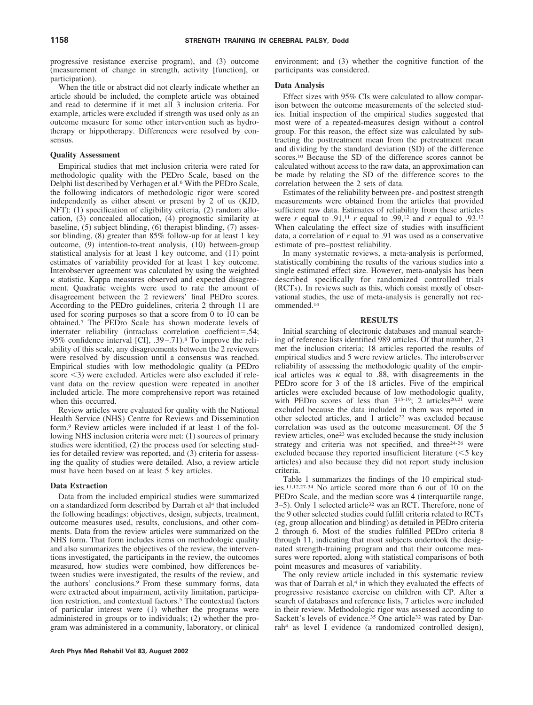progressive resistance exercise program), and (3) outcome (measurement of change in strength, activity [function], or participation).

When the title or abstract did not clearly indicate whether an article should be included, the complete article was obtained and read to determine if it met all 3 inclusion criteria. For example, articles were excluded if strength was used only as an outcome measure for some other intervention such as hydrotherapy or hippotherapy. Differences were resolved by consensus.

## **Quality Assessment**

Empirical studies that met inclusion criteria were rated for methodologic quality with the PEDro Scale, based on the Delphi list described by Verhagen et al.<sup>6</sup> With the PEDro Scale, the following indicators of methodologic rigor were scored independently as either absent or present by 2 of us (KJD, NFT): (1) specification of eligibility criteria, (2) random allocation, (3) concealed allocation, (4) prognostic similarity at baseline, (5) subject blinding, (6) therapist blinding, (7) assessor blinding, (8) greater than 85% follow-up for at least 1 key outcome, (9) intention-to-treat analysis, (10) between-group statistical analysis for at least 1 key outcome, and (11) point estimates of variability provided for at least 1 key outcome. Interobserver agreement was calculated by using the weighted  $\kappa$  statistic. Kappa measures observed and expected disagreement. Quadratic weights were used to rate the amount of disagreement between the 2 reviewers' final PEDro scores. According to the PEDro guidelines, criteria 2 through 11 are used for scoring purposes so that a score from 0 to 10 can be obtained.7 The PEDro Scale has shown moderate levels of interrater reliability (intraclass correlation coefficient=.54; 95% confidence interval [CI], .39–.71).8 To improve the reliability of this scale, any disagreements between the 2 reviewers were resolved by discussion until a consensus was reached. Empirical studies with low methodologic quality (a PEDro score <3) were excluded. Articles were also excluded if relevant data on the review question were repeated in another included article. The more comprehensive report was retained when this occurred.

Review articles were evaluated for quality with the National Health Service (NHS) Centre for Reviews and Dissemination form.9 Review articles were included if at least 1 of the following NHS inclusion criteria were met: (1) sources of primary studies were identified, (2) the process used for selecting studies for detailed review was reported, and (3) criteria for assessing the quality of studies were detailed. Also, a review article must have been based on at least 5 key articles.

### **Data Extraction**

Data from the included empirical studies were summarized on a standardized form described by Darrah et al<sup>4</sup> that included the following headings: objectives, design, subjects, treatment, outcome measures used, results, conclusions, and other comments. Data from the review articles were summarized on the NHS form. That form includes items on methodologic quality and also summarizes the objectives of the review, the interventions investigated, the participants in the review, the outcomes measured, how studies were combined, how differences between studies were investigated, the results of the review, and the authors' conclusions.9 From these summary forms, data were extracted about impairment, activity limitation, participation restriction, and contextual factors.5 The contextual factors of particular interest were (1) whether the programs were administered in groups or to individuals; (2) whether the program was administered in a community, laboratory, or clinical

environment; and (3) whether the cognitive function of the participants was considered.

#### **Data Analysis**

Effect sizes with 95% CIs were calculated to allow comparison between the outcome measurements of the selected studies. Initial inspection of the empirical studies suggested that most were of a repeated-measures design without a control group. For this reason, the effect size was calculated by subtracting the posttreatment mean from the pretreatment mean and dividing by the standard deviation (SD) of the difference scores.<sup>10</sup> Because the SD of the difference scores cannot be calculated without access to the raw data, an approximation can be made by relating the SD of the difference scores to the correlation between the 2 sets of data.

Estimates of the reliability between pre- and posttest strength measurements were obtained from the articles that provided sufficient raw data. Estimates of reliability from these articles were *r* equal to .91,<sup>11</sup> *r* equal to .99,<sup>12</sup> and *r* equal to .93.<sup>13</sup> When calculating the effect size of studies with insufficient data, a correlation of *r* equal to .91 was used as a conservative estimate of pre–posttest reliability.

In many systematic reviews, a meta-analysis is performed, statistically combining the results of the various studies into a single estimated effect size. However, meta-analysis has been described specifically for randomized controlled trials (RCTs). In reviews such as this, which consist mostly of observational studies, the use of meta-analysis is generally not recommended.14

#### **RESULTS**

Initial searching of electronic databases and manual searching of reference lists identified 989 articles. Of that number, 23 met the inclusion criteria; 18 articles reported the results of empirical studies and 5 were review articles. The interobserver reliability of assessing the methodologic quality of the empirical articles was  $\kappa$  equal to .88, with disagreements in the PEDro score for 3 of the 18 articles. Five of the empirical articles were excluded because of low methodologic quality, with PEDro scores of less than  $3^{15-19}$ ; 2 articles<sup>20,21</sup> were excluded because the data included in them was reported in other selected articles, and 1 article22 was excluded because correlation was used as the outcome measurement. Of the 5 review articles, one23 was excluded because the study inclusion strategy and criteria was not specified, and three<sup>24-26</sup> were excluded because they reported insufficient literature  $(< 5 \text{ key})$ articles) and also because they did not report study inclusion criteria.

Table 1 summarizes the findings of the 10 empirical studies.11,12,27-34 No article scored more than 6 out of 10 on the PEDro Scale, and the median score was 4 (interquartile range, 3–5). Only 1 selected article32 was an RCT. Therefore, none of the 9 other selected studies could fulfill criteria related to RCTs (eg, group allocation and blinding) as detailed in PEDro criteria 2 through 6. Most of the studies fulfilled PEDro criteria 8 through 11, indicating that most subjects undertook the designated strength-training program and that their outcome measures were reported, along with statistical comparisons of both point measures and measures of variability.

The only review article included in this systematic review was that of Darrah et al,<sup>4</sup> in which they evaluated the effects of progressive resistance exercise on children with CP. After a search of databases and reference lists, 7 articles were included in their review. Methodologic rigor was assessed according to Sackett's levels of evidence.<sup>35</sup> One article<sup>32</sup> was rated by Darrah4 as level I evidence (a randomized controlled design),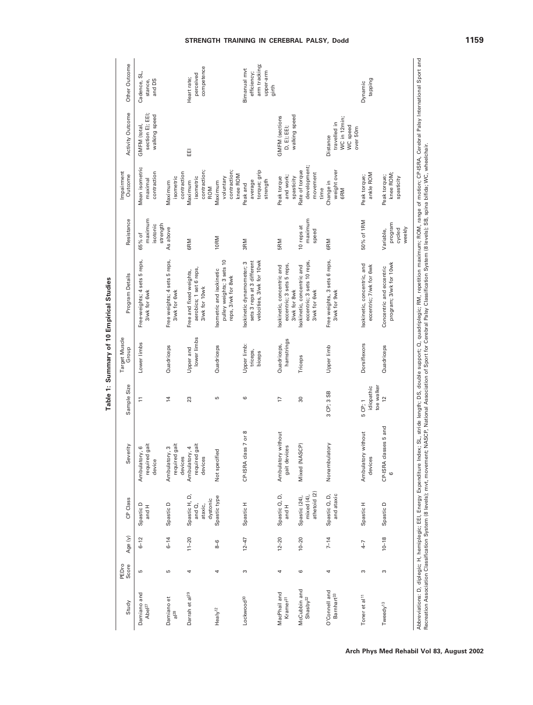|                                                     |            |                                           |                                                | CP Class<br>Age (y) |
|-----------------------------------------------------|------------|-------------------------------------------|------------------------------------------------|---------------------|
| $\Xi$                                               |            | Ambulatory, 6<br>required gai<br>device   | Spastic D<br>and H                             | $6 - 12$            |
| Quadriceps<br>$\overline{4}$                        |            | required gait<br>Ambulatory, 3<br>devices | Spastic D                                      | $6 - 14$            |
| Upper and<br>23                                     |            | required gait<br>Ambulatory, 4<br>devices | Spastic H, D,<br>dystonic<br>and Q,<br>ataxic, | $11 - 20$           |
| Quadriceps<br>Б                                     |            | Not specified                             | Spastic type                                   | 8                   |
| Upper limb:<br>triceps,<br>biceps<br>ဖ              | $7$ or $8$ | CP-ISRA class                             | Spastic H                                      | $12 - 47$           |
| hamstrings<br>Quadriceps,<br>17                     |            | Ambulatory without<br>gait devices        | Spastic Q, D,<br>and H                         | $12 - 20$           |
| Triceps<br>30                                       |            | Mixed (NASCP)                             | athetoid (2)<br>mixed (4),<br>Spastic (24),    | $10 - 20$           |
| Upper limb<br>3 CP; 3 SB                            |            | Nonambulatory                             | and ataxic<br>Spastic Q, D,                    | $7 - 14$            |
| Dorsiflexors<br>toe walker<br>idiopathic<br>5 CP; 1 |            | Ambulatory without<br>devices             | Spastic H                                      | $4 - 7$             |
| Quadriceps<br>$\frac{2}{3}$                         |            | CP-ISRA classes 5 and<br>$\circ$          | Spastic D                                      | $10 - 18$           |

Table 1: Summary of 10 Empirical Studies **Table 1: Summary of 10 Empirical Studies**

**Arch Phys Med Rehabil Vol 83, August 2002**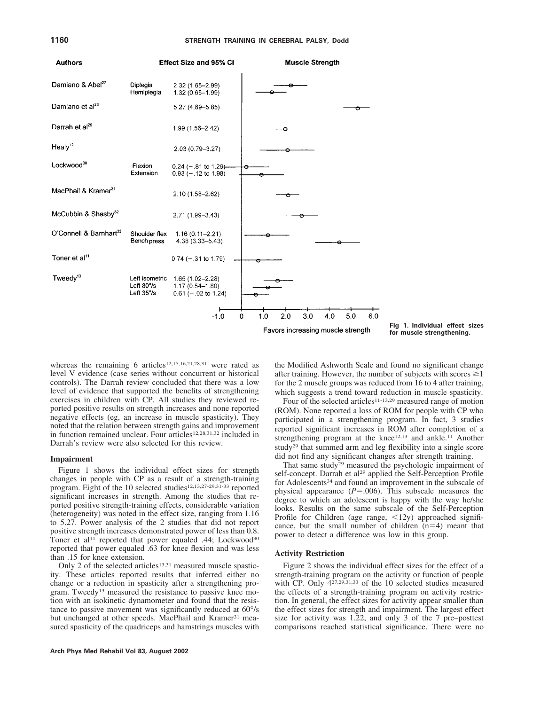

**Fig 1. Individual effect sizes for muscle strengthening.**

whereas the remaining 6 articles<sup>12,15,16,21,28,31</sup> were rated as level V evidence (case series without concurrent or historical controls). The Darrah review concluded that there was a low level of evidence that supported the benefits of strengthening exercises in children with CP. All studies they reviewed reported positive results on strength increases and none reported negative effects (eg, an increase in muscle spasticity). They noted that the relation between strength gains and improvement in function remained unclear. Four articles<sup>12,28,31,32</sup> included in Darrah's review were also selected for this review.

#### **Impairment**

Figure 1 shows the individual effect sizes for strength changes in people with CP as a result of a strength-training program. Eight of the 10 selected studies<sup>12,13,27-29,31-33</sup> reported significant increases in strength. Among the studies that reported positive strength-training effects, considerable variation (heterogeneity) was noted in the effect size, ranging from 1.16 to 5.27. Power analysis of the 2 studies that did not report positive strength increases demonstrated power of less than 0.8. Toner et al<sup>11</sup> reported that power equaled .44; Lockwood<sup>30</sup> reported that power equaled .63 for knee flexion and was less than .15 for knee extension.

Only 2 of the selected articles<sup>13,31</sup> measured muscle spasticity. These articles reported results that inferred either no change or a reduction in spasticity after a strengthening program. Tweedy13 measured the resistance to passive knee motion with an isokinetic dynamometer and found that the resistance to passive movement was significantly reduced at 60°/s but unchanged at other speeds. MacPhail and Kramer<sup>31</sup> measured spasticity of the quadriceps and hamstrings muscles with the Modified Ashworth Scale and found no significant change after training. However, the number of subjects with scores  $\geq 1$ for the 2 muscle groups was reduced from 16 to 4 after training, which suggests a trend toward reduction in muscle spasticity.

Four of the selected articles<sup>11-13,29</sup> measured range of motion (ROM). None reported a loss of ROM for people with CP who participated in a strengthening program. In fact, 3 studies reported significant increases in ROM after completion of a strengthening program at the knee<sup>12,13</sup> and ankle.<sup>11</sup> Another study<sup>29</sup> that summed arm and leg flexibility into a single score did not find any significant changes after strength training.

That same study<sup>29</sup> measured the psychologic impairment of self-concept. Darrah et al<sup>29</sup> applied the Self-Perception Profile for Adolescents<sup>34</sup> and found an improvement in the subscale of physical appearance  $(P=.006)$ . This subscale measures the degree to which an adolescent is happy with the way he/she looks. Results on the same subscale of the Self-Perception Profile for Children (age range,  $\langle 12y \rangle$  approached significance, but the small number of children  $(n=4)$  meant that power to detect a difference was low in this group.

## **Activity Restriction**

Figure 2 shows the individual effect sizes for the effect of a strength-training program on the activity or function of people with CP. Only  $4^{27,29,31,33}$  of the 10 selected studies measured the effects of a strength-training program on activity restriction. In general, the effect sizes for activity appear smaller than the effect sizes for strength and impairment. The largest effect size for activity was 1.22, and only 3 of the 7 pre–posttest comparisons reached statistical significance. There were no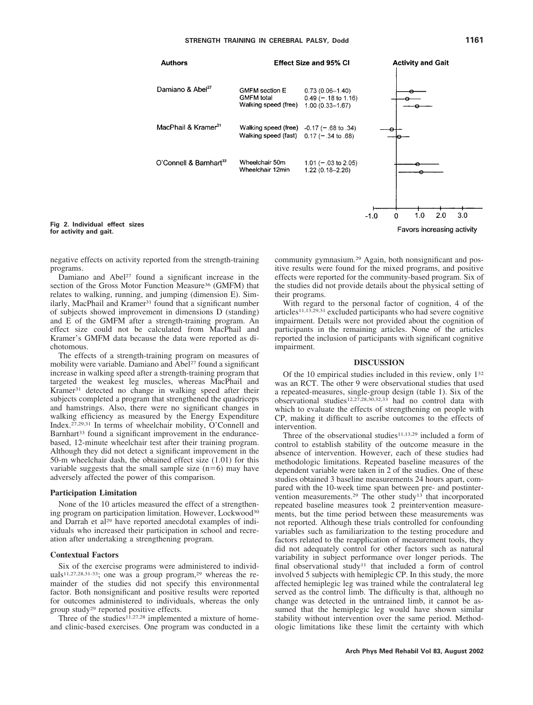

**Fig 2. Individual effect sizes for activity and gait.**

negative effects on activity reported from the strength-training programs.

Damiano and Abel<sup>27</sup> found a significant increase in the section of the Gross Motor Function Measure<sup>36</sup> (GMFM) that relates to walking, running, and jumping (dimension E). Similarly, MacPhail and Kramer<sup>31</sup> found that a significant number of subjects showed improvement in dimensions D (standing) and E of the GMFM after a strength-training program. An effect size could not be calculated from MacPhail and Kramer's GMFM data because the data were reported as dichotomous.

The effects of a strength-training program on measures of mobility were variable. Damiano and Abel<sup>27</sup> found a significant increase in walking speed after a strength-training program that targeted the weakest leg muscles, whereas MacPhail and Kramer<sup>31</sup> detected no change in walking speed after their subjects completed a program that strengthened the quadriceps and hamstrings. Also, there were no significant changes in walking efficiency as measured by the Energy Expenditure Index.27,29,31 In terms of wheelchair mobility, O'Connell and Barnhart<sup>33</sup> found a significant improvement in the endurancebased, 12-minute wheelchair test after their training program. Although they did not detect a significant improvement in the 50-m wheelchair dash, the obtained effect size (1.01) for this variable suggests that the small sample size  $(n=6)$  may have adversely affected the power of this comparison.

#### **Participation Limitation**

None of the 10 articles measured the effect of a strengthening program on participation limitation. However, Lockwood<sup>30</sup> and Darrah et al<sup>29</sup> have reported anecdotal examples of individuals who increased their participation in school and recreation after undertaking a strengthening program.

#### **Contextual Factors**

Six of the exercise programs were administered to individuals<sup>11,27,28,31-33</sup>; one was a group program,<sup>29</sup> whereas the remainder of the studies did not specify this environmental factor. Both nonsignificant and positive results were reported for outcomes administered to individuals, whereas the only group study29 reported positive effects.

Three of the studies<sup>11,27,28</sup> implemented a mixture of homeand clinic-based exercises. One program was conducted in a community gymnasium.29 Again, both nonsignificant and positive results were found for the mixed programs, and positive effects were reported for the community-based program. Six of the studies did not provide details about the physical setting of their programs.

With regard to the personal factor of cognition, 4 of the articles11,13,29,31 excluded participants who had severe cognitive impairment. Details were not provided about the cognition of participants in the remaining articles. None of the articles reported the inclusion of participants with significant cognitive impairment.

## **DISCUSSION**

Of the 10 empirical studies included in this review, only 132 was an RCT. The other 9 were observational studies that used a repeated-measures, single-group design (table 1). Six of the observational studies12,27,28,30,32,33 had no control data with which to evaluate the effects of strengthening on people with CP, making it difficult to ascribe outcomes to the effects of intervention.

Three of the observational studies<sup>11,13,29</sup> included a form of control to establish stability of the outcome measure in the absence of intervention. However, each of these studies had methodologic limitations. Repeated baseline measures of the dependent variable were taken in 2 of the studies. One of these studies obtained 3 baseline measurements 24 hours apart, compared with the 10-week time span between pre- and postintervention measurements.29 The other study13 that incorporated repeated baseline measures took 2 preintervention measurements, but the time period between these measurements was not reported. Although these trials controlled for confounding variables such as familiarization to the testing procedure and factors related to the reapplication of measurement tools, they did not adequately control for other factors such as natural variability in subject performance over longer periods. The final observational study<sup>11</sup> that included a form of control involved 5 subjects with hemiplegic CP. In this study, the more affected hemiplegic leg was trained while the contralateral leg served as the control limb. The difficulty is that, although no change was detected in the untrained limb, it cannot be assumed that the hemiplegic leg would have shown similar stability without intervention over the same period. Methodologic limitations like these limit the certainty with which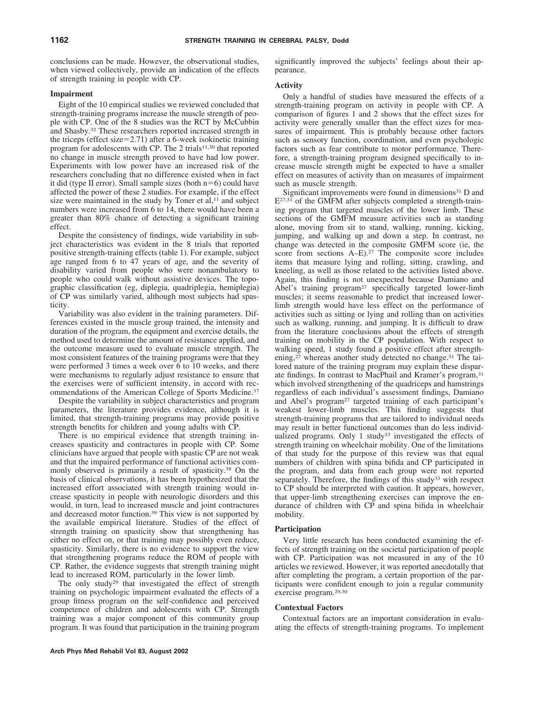conclusions can be made. However, the observational studies, when viewed collectively, provide an indication of the effects of strength training in people with CP.

## **Impairment**

Eight of the 10 empirical studies we reviewed concluded that strength-training programs increase the muscle strength of people with CP. One of the 8 studies was the RCT by McCubbin and Shasby.32 These researchers reported increased strength in the triceps (effect size=2.71) after a 6-week isokinetic training program for adolescents with CP. The 2 trials<sup>11,30</sup> that reported no change in muscle strength proved to have had low power. Experiments with low power have an increased risk of the researchers concluding that no difference existed when in fact it did (type II error). Small sample sizes (both  $n=6$ ) could have affected the power of these 2 studies. For example, if the effect size were maintained in the study by Toner et  $al$ ,<sup>11</sup> and subject numbers were increased from 6 to 14, there would have been a greater than 80% chance of detecting a significant training effect.

Despite the consistency of findings, wide variability in subject characteristics was evident in the 8 trials that reported positive strength-training effects (table 1). For example, subject age ranged from 6 to 47 years of age, and the severity of disability varied from people who were nonambulatory to people who could walk without assistive devices. The topographic classification (eg, diplegia, quadriplegia, hemiplegia) of CP was similarly varied, although most subjects had spasticity.

Variability was also evident in the training parameters. Differences existed in the muscle group trained, the intensity and duration of the program, the equipment and exercise details, the method used to determine the amount of resistance applied, and the outcome measure used to evaluate muscle strength. The most consistent features of the training programs were that they were performed 3 times a week over 6 to 10 weeks, and there were mechanisms to regularly adjust resistance to ensure that the exercises were of sufficient intensity, in accord with recommendations of the American College of Sports Medicine.37

Despite the variability in subject characteristics and program parameters, the literature provides evidence, although it is limited, that strength-training programs may provide positive strength benefits for children and young adults with CP.

There is no empirical evidence that strength training increases spasticity and contractures in people with CP. Some clinicians have argued that people with spastic CP are not weak and that the impaired performance of functional activities commonly observed is primarily a result of spasticity.38 On the basis of clinical observations, it has been hypothesized that the increased effort associated with strength training would increase spasticity in people with neurologic disorders and this would, in turn, lead to increased muscle and joint contractures and decreased motor function.39 This view is not supported by the available empirical literature. Studies of the effect of strength training on spasticity show that strengthening has either no effect on, or that training may possibly even reduce, spasticity. Similarly, there is no evidence to support the view that strengthening programs reduce the ROM of people with CP. Rather, the evidence suggests that strength training might lead to increased ROM, particularly in the lower limb.

The only study<sup>29</sup> that investigated the effect of strength training on psychologic impairment evaluated the effects of a group fitness program on the self-confidence and perceived competence of children and adolescents with CP. Strength training was a major component of this community group program. It was found that participation in the training program

significantly improved the subjects' feelings about their appearance.

## **Activity**

Only a handful of studies have measured the effects of a strength-training program on activity in people with CP. A comparison of figures 1 and 2 shows that the effect sizes for activity were generally smaller than the effect sizes for measures of impairment. This is probably because other factors such as sensory function, coordination, and even psychologic factors such as fear contribute to motor performance. Therefore, a strength-training program designed specifically to increase muscle strength might be expected to have a smaller effect on measures of activity than on measures of impairment such as muscle strength.

Significant improvements were found in dimensions $31$  D and E<sup>27,31</sup> of the GMFM after subjects completed a strength-training program that targeted muscles of the lower limb. These sections of the GMFM measure activities such as standing alone, moving from sit to stand, walking, running, kicking, jumping, and walking up and down a step. In contrast, no change was detected in the composite GMFM score (ie, the score from sections A–E).<sup>27</sup> The composite score includes items that measure lying and rolling, sitting, crawling, and kneeling, as well as those related to the activities listed above. Again, this finding is not unexpected because Damiano and Abel's training program<sup>27</sup> specifically targeted lower-limb muscles; it seems reasonable to predict that increased lowerlimb strength would have less effect on the performance of activities such as sitting or lying and rolling than on activities such as walking, running, and jumping. It is difficult to draw from the literature conclusions about the effects of strength training on mobility in the CP population. With respect to walking speed, 1 study found a positive effect after strengthening,<sup>27</sup> whereas another study detected no change.<sup>31</sup> The tailored nature of the training program may explain these disparate findings. In contrast to MacPhail and Kramer's program,<sup>31</sup> which involved strengthening of the quadriceps and hamstrings regardless of each individual's assessment findings, Damiano and Abel's program<sup>27</sup> targeted training of each participant's weakest lower-limb muscles. This finding suggests that strength-training programs that are tailored to individual needs may result in better functional outcomes than do less individualized programs. Only 1 study<sup>33</sup> investigated the effects of strength training on wheelchair mobility. One of the limitations of that study for the purpose of this review was that equal numbers of children with spina bifida and CP participated in the program, and data from each group were not reported separately. Therefore, the findings of this study<sup>33</sup> with respect to CP should be interpreted with caution. It appears, however, that upper-limb strengthening exercises can improve the endurance of children with CP and spina bifida in wheelchair mobility.

## **Participation**

Very little research has been conducted examining the effects of strength training on the societal participation of people with CP. Participation was not measured in any of the 10 articles we reviewed. However, it was reported anecdotally that after completing the program, a certain proportion of the participants were confident enough to join a regular community exercise program.29,30

## **Contextual Factors**

Contextual factors are an important consideration in evaluating the effects of strength-training programs. To implement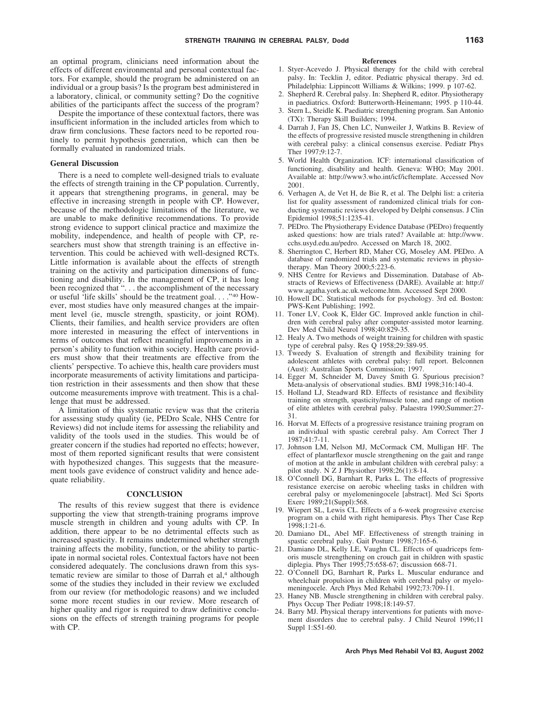an optimal program, clinicians need information about the effects of different environmental and personal contextual factors. For example, should the program be administered on an individual or a group basis? Is the program best administered in a laboratory, clinical, or community setting? Do the cognitive abilities of the participants affect the success of the program?

Despite the importance of these contextual factors, there was insufficient information in the included articles from which to draw firm conclusions. These factors need to be reported routinely to permit hypothesis generation, which can then be formally evaluated in randomized trials.

## **General Discussion**

There is a need to complete well-designed trials to evaluate the effects of strength training in the CP population. Currently, it appears that strengthening programs, in general, may be effective in increasing strength in people with CP. However, because of the methodologic limitations of the literature, we are unable to make definitive recommendations. To provide strong evidence to support clinical practice and maximize the mobility, independence, and health of people with CP, researchers must show that strength training is an effective intervention. This could be achieved with well-designed RCTs. Little information is available about the effects of strength training on the activity and participation dimensions of functioning and disability. In the management of CP, it has long been recognized that ". . . the accomplishment of the necessary or useful 'life skills' should be the treatment goal...."40 However, most studies have only measured changes at the impairment level (ie, muscle strength, spasticity, or joint ROM). Clients, their families, and health service providers are often more interested in measuring the effect of interventions in terms of outcomes that reflect meaningful improvements in a person's ability to function within society. Health care providers must show that their treatments are effective from the clients' perspective. To achieve this, health care providers must incorporate measurements of activity limitations and participation restriction in their assessments and then show that these outcome measurements improve with treatment. This is a challenge that must be addressed.

A limitation of this systematic review was that the criteria for assessing study quality (ie, PEDro Scale, NHS Centre for Reviews) did not include items for assessing the reliability and validity of the tools used in the studies. This would be of greater concern if the studies had reported no effects; however, most of them reported significant results that were consistent with hypothesized changes. This suggests that the measurement tools gave evidence of construct validity and hence adequate reliability.

#### **CONCLUSION**

The results of this review suggest that there is evidence supporting the view that strength-training programs improve muscle strength in children and young adults with CP. In addition, there appear to be no detrimental effects such as increased spasticity. It remains undetermined whether strength training affects the mobility, function, or the ability to participate in normal societal roles. Contextual factors have not been considered adequately. The conclusions drawn from this systematic review are similar to those of Darrah et al,<sup>4</sup> although some of the studies they included in their review we excluded from our review (for methodologic reasons) and we included some more recent studies in our review. More research of higher quality and rigor is required to draw definitive conclusions on the effects of strength training programs for people with CP.

#### **References**

- 1. Styer-Acevedo J. Physical therapy for the child with cerebral palsy. In: Tecklin J, editor. Pediatric physical therapy. 3rd ed. Philadelphia: Lippincott Williams & Wilkins; 1999. p 107-62.
- 2. Shepherd R. Cerebral palsy. In: Shepherd R, editor. Physiotherapy in paediatrics. Oxford: Butterworth-Heinemann; 1995. p 110-44.
- 3. Stern L, Steidle K. Paediatric strengthening program. San Antonio (TX): Therapy Skill Builders; 1994.
- 4. Darrah J, Fan JS, Chen LC, Nunweiler J, Watkins B. Review of the effects of progressive resisted muscle strengthening in children with cerebral palsy: a clinical consensus exercise. Pediatr Phys Ther 1997;9:12-7.
- 5. World Health Organization. ICF: international classification of functioning, disability and health. Geneva: WHO; May 2001. Available at: http://www3.who.int/icf/icftemplate. Accessed Nov 2001.
- 6. Verhagen A, de Vet H, de Bie R, et al. The Delphi list: a criteria list for quality assessment of randomized clinical trials for conducting systematic reviews developed by Delphi consensus. J Clin Epidemiol 1998;51:1235-41.
- 7. PEDro. The Physiotherapy Evidence Database (PEDro) frequently asked questions: how are trials rated? Available at: http://www. cchs.usyd.edu.au/pedro. Accessed on March 18, 2002.
- 8. Sherrington C, Herbert RD, Maher CG, Moseley AM. PEDro. A database of randomized trials and systematic reviews in physiotherapy. Man Theory 2000;5:223-6.
- 9. NHS Centre for Reviews and Dissemination. Database of Abstracts of Reviews of Effectiveness (DARE). Available at: http:// www.agatha.york.ac.uk.welcome.htm. Accessed Sept 2000.
- 10. Howell DC. Statistical methods for psychology. 3rd ed. Boston: PWS-Kent Publishing; 1992.
- 11. Toner LV, Cook K, Elder GC. Improved ankle function in children with cerebral palsy after computer-assisted motor learning. Dev Med Child Neurol 1998;40:829-35.
- 12. Healy A. Two methods of weight training for children with spastic type of cerebral palsy. Res Q 1958;29:389-95.
- 13. Tweedy S. Evaluation of strength and flexibility training for adolescent athletes with cerebral palsy: full report. Belconnen (Aust): Australian Sports Commission; 1997.
- 14. Egger M, Schneider M, Davey Smith G. Spurious precision? Meta-analysis of observational studies. BMJ 1998;316:140-4.
- 15. Holland LJ, Steadward RD. Effects of resistance and flexibility training on strength, spasticity/muscle tone, and range of motion of elite athletes with cerebral palsy. Palaestra 1990;Summer:27- 31.
- 16. Horvat M. Effects of a progressive resistance training program on an individual with spastic cerebral palsy. Am Correct Ther J 1987;41:7-11.
- 17. Johnson LM, Nelson MJ, McCormack CM, Mulligan HF. The effect of plantarflexor muscle strengthening on the gait and range of motion at the ankle in ambulant children with cerebral palsy: a pilot study. N Z J Physiother 1998;26(1):8-14.
- 18. O'Connell DG, Barnhart R, Parks L. The effects of progressive resistance exercise on aerobic wheeling tasks in children with cerebral palsy or myelomeningocele [abstract]. Med Sci Sports Exerc 1989;21(Suppl):568.
- 19. Wiepert SL, Lewis CL. Effects of a 6-week progressive exercise program on a child with right hemiparesis. Phys Ther Case Rep 1998;1:21-6.
- 20. Damiano DL, Abel MF. Effectiveness of strength training in spastic cerebral palsy. Gait Posture 1998;7:165-6.
- 21. Damiano DL, Kelly LE, Vaughn CL. Effects of quadriceps femoris muscle strengthening on crouch gait in children with spastic diplegia. Phys Ther 1995;75:658-67; discussion 668-71.
- 22. O'Connell DG, Barnhart R, Parks L. Muscular endurance and wheelchair propulsion in children with cerebral palsy or myelomeningocele. Arch Phys Med Rehabil 1992;73:709-11.
- 23. Haney NB. Muscle strengthening in children with cerebral palsy. Phys Occup Ther Pediatr 1998;18:149-57.
- 24. Barry MJ. Physical therapy interventions for patients with movement disorders due to cerebral palsy. J Child Neurol 1996;11 Suppl 1:S51-60.